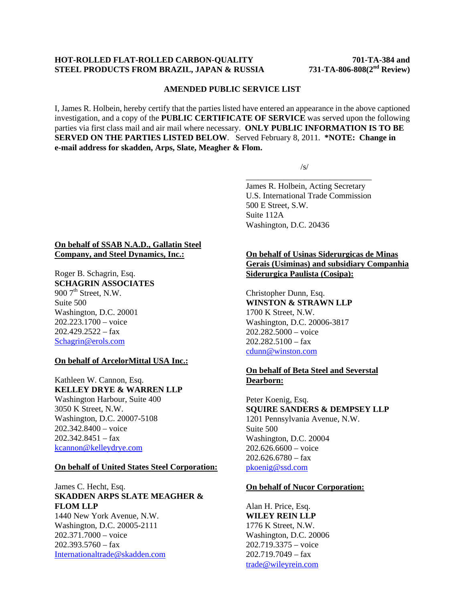## **HOT-ROLLED FLAT-ROLLED CARBON-QUALITY 701-TA-384 and STEEL PRODUCTS FROM BRAZIL, JAPAN & RUSSIA 731-TA-806-808(2nd Review)**

### **AMENDED PUBLIC SERVICE LIST**

I, James R. Holbein, hereby certify that the parties listed have entered an appearance in the above captioned investigation, and a copy of the **PUBLIC CERTIFICATE OF SERVICE** was served upon the following parties via first class mail and air mail where necessary. **ONLY PUBLIC INFORMATION IS TO BE SERVED ON THE PARTIES LISTED BELOW**. Served February 8, 2011. **\*NOTE: Change in e-mail address for skadden, Arps, Slate, Meagher & Flom.** 

 $\overline{\phantom{a}}$  , and the contract of the contract of the contract of the contract of the contract of the contract of the contract of the contract of the contract of the contract of the contract of the contract of the contrac

 $\sqrt{s}$ /s/

James R. Holbein, Acting Secretary U.S. International Trade Commission 500 E Street, S.W. Suite 112A Washington, D.C. 20436

# **On behalf of SSAB N.A.D., Gallatin Steel Company, and Steel Dynamics, Inc.:**

Roger B. Schagrin, Esq. **SCHAGRIN ASSOCIATES**  $900$   $7<sup>th</sup>$  Street, N.W. Suite 500 Washington, D.C. 20001 202.223.1700 – voice  $202.429.2522 - fax$ Schagrin@erols.com

## **On behalf of ArcelorMittal USA Inc.:**

Kathleen W. Cannon, Esq. **KELLEY DRYE & WARREN LLP** Washington Harbour, Suite 400 3050 K Street, N.W. Washington, D.C. 20007-5108 202.342.8400 – voice 202.342.8451 – fax kcannon@kelleydrye.com

## **On behalf of United States Steel Corporation:**

# James C. Hecht, Esq. **SKADDEN ARPS SLATE MEAGHER & FLOM LLP**

1440 New York Avenue, N.W. Washington, D.C. 20005-2111 202.371.7000 – voice  $202.393.5760 - fax$ Internationaltrade@skadden.com

# **On behalf of Usinas Siderurgicas de Minas Gerais (Usiminas) and subsidiary Companhia Siderurgica Paulista (Cosipa):**

Christopher Dunn, Esq. **WINSTON & STRAWN LLP** 1700 K Street, N.W. Washington, D.C. 20006-3817 202.282.5000 – voice  $202.282.5100 - fax$ cdunn@winston.com

# **On behalf of Beta Steel and Severstal Dearborn:**

Peter Koenig, Esq. **SQUIRE SANDERS & DEMPSEY LLP** 1201 Pennsylvania Avenue, N.W. Suite 500 Washington, D.C. 20004 202.626.6600 – voice  $202.626.6780 - fax$ pkoenig@ssd.com

#### **On behalf of Nucor Corporation:**

Alan H. Price, Esq. **WILEY REIN LLP** 1776 K Street, N.W. Washington, D.C. 20006 202.719.3375 – voice 202.719.7049 – fax trade@wileyrein.com